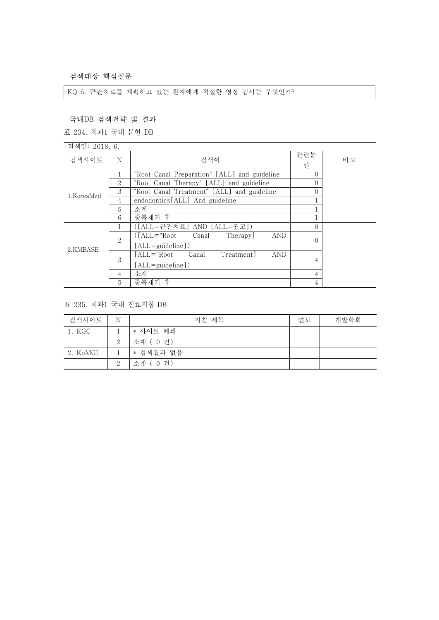검색대상 핵심질문

KQ 5. 근관치료를 계획하고 있는 환자에게 적절한 영상 검사는 무엇인가?

국내DB 검색전략 및 결과

표 234. 치과1 국내 문헌 DB

| 검색일: 2018. 6. |                |                                                  |          |    |
|---------------|----------------|--------------------------------------------------|----------|----|
| 검색사이트         | N              | 검색어                                              | 관련문      | 비고 |
|               |                |                                                  | 헌        |    |
|               |                | "Root Canal Preparation" [ALL] and guideline     | $\Omega$ |    |
|               | $\overline{2}$ | "Root Canal Therapy" [ALL] and guideline         |          |    |
|               | 3              | "Root Canal Treatment" [ALL] and guideline       |          |    |
| 1.KoreaMed    | 4              | endodontics [ALL] And guideline                  |          |    |
|               | 5              | 소계                                               |          |    |
|               | 6              | 중복제거 후                                           |          |    |
| 2.KMBASE      |                | ([ALL=근관치료] AND [ALL=권고])                        |          |    |
|               | $\overline{2}$ | $(IALL="Root$<br>Canal<br><b>AND</b><br>Therapy] | $\Omega$ |    |
|               |                | $[ALL = \{quideline\})$                          |          |    |
|               | 3              | ALL="Root<br><b>AND</b><br>Canal<br>Treatment]   | 4        |    |
|               |                | $[ALL = \{quideline\})$                          |          |    |
|               | 4              | 소계                                               | 4        |    |
|               | 5              | 중복제거 후                                           | 4        |    |

표 235. 치과1 국내 진료지침 DB

| 검색사이트    | N | 지침 제목     | 연도 | 개발학회 |
|----------|---|-----------|----|------|
| 1. KGC   |   | * 사이트 폐쇄  |    |      |
|          | 2 | 소계 (0건)   |    |      |
| 2. KoMGI |   | * 검색결과 없음 |    |      |
|          | 2 | 소계 (0건)   |    |      |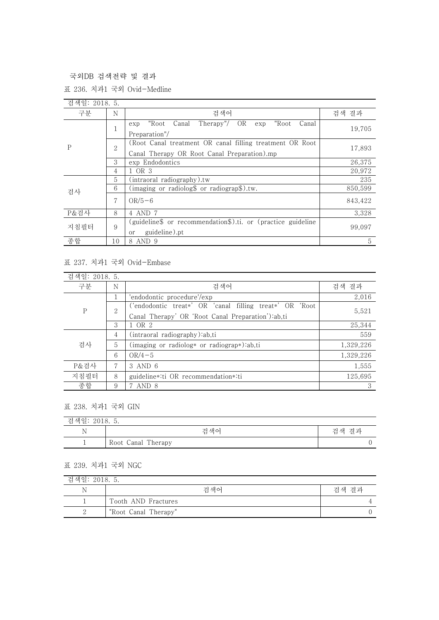국외DB 검색전략 및 결과

표 236. 치과1 국외 Ovid-Medline

| 검색일: 2018. 5. |                |                                                                                                          |         |
|---------------|----------------|----------------------------------------------------------------------------------------------------------|---------|
| 구분            | N              | 검색어                                                                                                      | 검색 결과   |
| P             |                | Therapy"/ OR exp<br>"Root<br>Canal<br>"Root<br>Canal<br>exp<br>Preparation"/                             | 19,705  |
|               | $\overline{2}$ | (Root Canal treatment OR canal filling treatment OR Root)<br>Canal Therapy OR Root Canal Preparation).mp | 17,893  |
|               | 3              | exp Endodontics                                                                                          | 26.375  |
|               | 4              | 1 OR 3                                                                                                   | 20.972  |
|               | 5              | (intraoral radiography).tw                                                                               | 235     |
| 검사            | 6              | (imaging or radiolog $\text{\$}$ or radiograp $\text{\$}$ ).tw.                                          | 850,599 |
|               | 7              | $OR/5-6$                                                                                                 | 843,422 |
| P&검사          | 8              | 4 AND 7                                                                                                  | 3,328   |
| 지침필터          | 9              | (guideline\$ or recommendation\$).ti. or (practice guideline<br>guideline).pt<br>or                      | 99,097  |
| 종합            | 10             | 8 AND 9                                                                                                  | 5       |

## 표 237. 치과1 국외 Ovid-Embase

| 검색일: 2018. 5. |                |                                                         |           |
|---------------|----------------|---------------------------------------------------------|-----------|
| 구분            | N              | 검색어                                                     | 검색 결과     |
| $\mathbf P$   |                | 'endodontic procedure'/exp                              | 2,016     |
|               | $\overline{2}$ | ('endodontic treat*' OR 'canal filling treat*' OR 'Root | 5,521     |
|               |                | Canal Therapy' OR 'Root Canal Preparation'):ab,ti       |           |
|               | 3              | 1 OR 2                                                  | 25,344    |
| 검사            | 4              | (intr a oral radiography):ab,ti                         | 559       |
|               | 5              | (imaging or radiolog* or radiograp*):ab,ti              | 1,329,226 |
|               | 6              | $OR/4-5$                                                | 1,329,226 |
| P&검사          | 7              | 3 AND 6                                                 | 1,555     |
| 지침필터          | 8              | guideline*:ti OR recommendation*:ti                     | 125,695   |
| 종합            | 9              | 7 AND 8                                                 | 3         |

## 표 238. 치과1 국외 GIN

| 검색일: 2018. 5.            |                    |       |  |
|--------------------------|--------------------|-------|--|
| N                        | 검색어                | 검색 결과 |  |
| $\overline{\phantom{a}}$ | Root Canal Therapy | ╰     |  |

## 표 239. 치과1 국외 NGC

| 검색일: 2018. 5. |                      |       |  |
|---------------|----------------------|-------|--|
| N             | 검색어                  | 검색 결과 |  |
|               | Tooth AND Fractures  |       |  |
| ↵             | "Root Canal Therapy" |       |  |